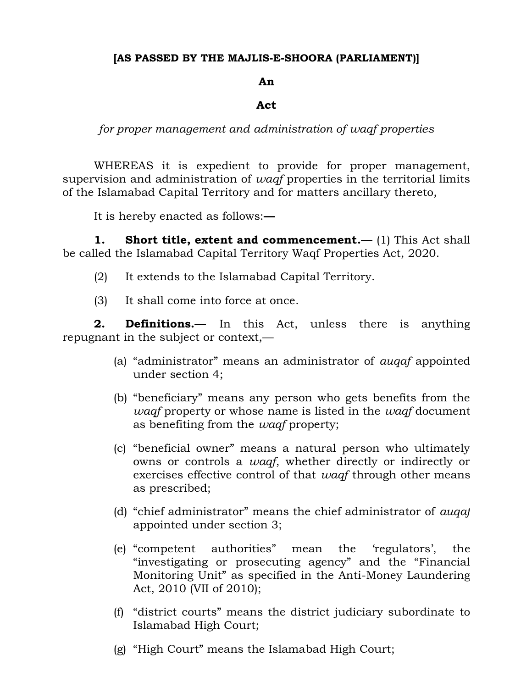# **[AS PASSED BY THE MAJLIS-E-SHOORA (PARLIAMENT)]**

## **An**

# **Act**

*for proper management and administration of waqf properties*

WHEREAS it is expedient to provide for proper management, supervision and administration of *waqf* properties in the territorial limits of the Islamabad Capital Territory and for matters ancillary thereto,

It is hereby enacted as follows:**—**

**1. Short title, extent and commencement.—** (1) This Act shall be called the Islamabad Capital Territory Waqf Properties Act, 2020.

- (2) It extends to the Islamabad Capital Territory.
- (3) It shall come into force at once.

**2. Definitions.—** In this Act, unless there is anything repugnant in the subject or context,—

- (a) "administrator" means an administrator of *auqaf* appointed under section 4;
- (b) "beneficiary" means any person who gets benefits from the *waqf* property or whose name is listed in the *waqf* document as benefiting from the *waqf* property;
- (c) "beneficial owner" means a natural person who ultimately owns or controls a *waqf*, whether directly or indirectly or exercises effective control of that *waqf* through other means as prescribed;
- (d) "chief administrator" means the chief administrator of *auqaf* appointed under section 3;
- (e) "competent authorities" mean the 'regulators', the "investigating or prosecuting agency" and the "Financial Monitoring Unit" as specified in the Anti-Money Laundering Act, 2010 (VII of 2010);
- (f) "district courts" means the district judiciary subordinate to Islamabad High Court;
- (g) "High Court" means the Islamabad High Court;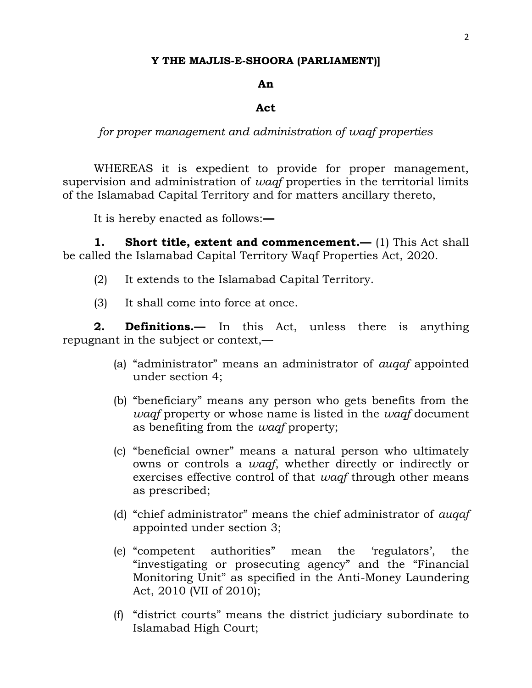### **Y THE MAJLIS-E-SHOORA (PARLIAMENT)]**

### **An**

#### **Act**

*for proper management and administration of waqf properties*

WHEREAS it is expedient to provide for proper management, supervision and administration of *waqf* properties in the territorial limits of the Islamabad Capital Territory and for matters ancillary thereto,

It is hereby enacted as follows:**—**

**1. Short title, extent and commencement.—** (1) This Act shall be called the Islamabad Capital Territory Waqf Properties Act, 2020.

- (2) It extends to the Islamabad Capital Territory.
- (3) It shall come into force at once.

**2. Definitions.—** In this Act, unless there is anything repugnant in the subject or context,—

- (a) "administrator" means an administrator of *auqaf* appointed under section 4;
- (b) "beneficiary" means any person who gets benefits from the *waqf* property or whose name is listed in the *waqf* document as benefiting from the *waqf* property;
- (c) "beneficial owner" means a natural person who ultimately owns or controls a *waqf*, whether directly or indirectly or exercises effective control of that *waqf* through other means as prescribed;
- (d) "chief administrator" means the chief administrator of *auqaf* appointed under section 3;
- (e) "competent authorities" mean the 'regulators', the "investigating or prosecuting agency" and the "Financial Monitoring Unit" as specified in the Anti-Money Laundering Act, 2010 (VII of 2010);
- (f) "district courts" means the district judiciary subordinate to Islamabad High Court;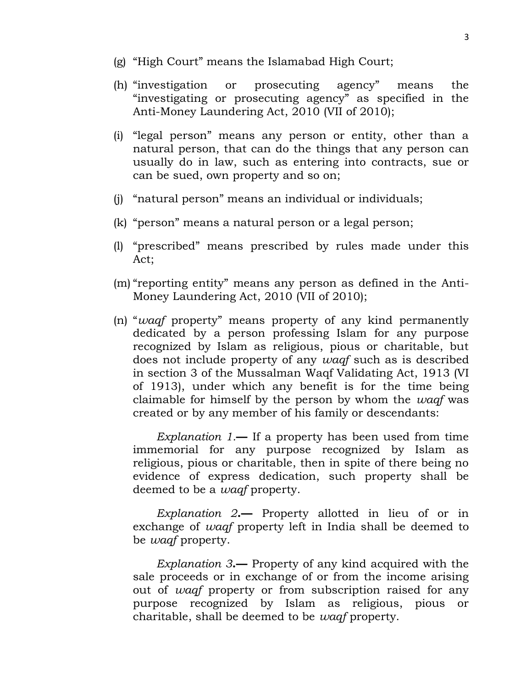- (g) "High Court" means the Islamabad High Court;
- (h) "investigation or prosecuting agency" means the "investigating or prosecuting agency" as specified in the Anti-Money Laundering Act, 2010 (VII of 2010);
- (i) "legal person" means any person or entity, other than a natural person, that can do the things that any person can usually do in law, such as entering into contracts, sue or can be sued, own property and so on;
- (j) "natural person" means an individual or individuals;
- (k) "person" means a natural person or a legal person;
- (l) "prescribed" means prescribed by rules made under this Act;
- (m) "reporting entity" means any person as defined in the Anti-Money Laundering Act, 2010 (VII of 2010);
- (n) "*waqf* property" means property of any kind permanently dedicated by a person professing Islam for any purpose recognized by Islam as religious, pious or charitable, but does not include property of any *waqf* such as is described in section 3 of the Mussalman Waqf Validating Act, 1913 (VI of 1913), under which any benefit is for the time being claimable for himself by the person by whom the *waqf* was created or by any member of his family or descendants:

*Explanation 1.***—** If a property has been used from time immemorial for any purpose recognized by Islam as religious, pious or charitable, then in spite of there being no evidence of express dedication, such property shall be deemed to be a *waqf* property.

*Explanation 2***.—** Property allotted in lieu of or in exchange of *waqf* property left in India shall be deemed to be *waqf* property.

*Explanation 3***.—** Property of any kind acquired with the sale proceeds or in exchange of or from the income arising out of *waqf* property or from subscription raised for any purpose recognized by Islam as religious, pious or charitable, shall be deemed to be *waqf* property.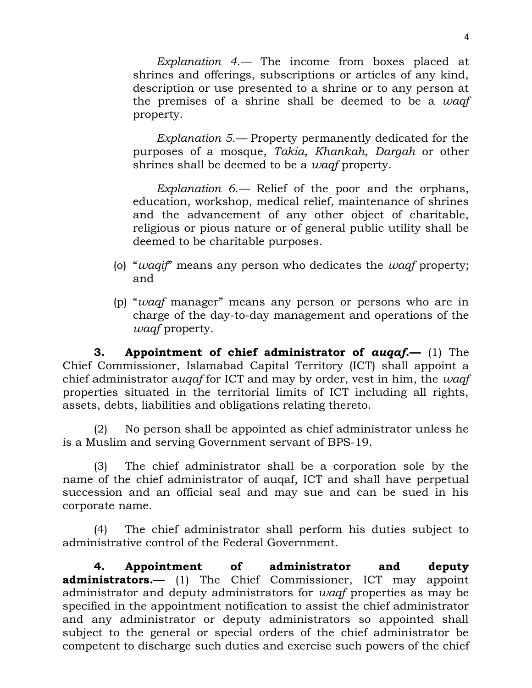*Explanation 4.—* The income from boxes placed at shrines and offerings, subscriptions or articles of any kind, description or use presented to a shrine or to any person at the premises of a shrine shall be deemed to be a *waqf* property.

*Explanation 5.—* Property permanently dedicated for the purposes of a mosque, *Takia*, *Khankah*, *Dargah* or other shrines shall be deemed to be a *waqf* property.

*Explanation 6.—* Relief of the poor and the orphans, education, workshop, medical relief, maintenance of shrines and the advancement of any other object of charitable, religious or pious nature or of general public utility shall be deemed to be charitable purposes.

- (o) "*waqif*" means any person who dedicates the *waqf* property; and
- (p) "*waqf* manager" means any person or persons who are in charge of the day-to-day management and operations of the *waqf* property.

**3. Appointment of chief administrator of** *auqaf***.—** (1) The Chief Commissioner, Islamabad Capital Territory (ICT) shall appoint a chief administrator a*uqaf* for ICT and may by order, vest in him, the *waqf* properties situated in the territorial limits of ICT including all rights, assets, debts, liabilities and obligations relating thereto.

(2) No person shall be appointed as chief administrator unless he is a Muslim and serving Government servant of BPS-19.

(3) The chief administrator shall be a corporation sole by the name of the chief administrator of auqaf, ICT and shall have perpetual succession and an official seal and may sue and can be sued in his corporate name.

(4) The chief administrator shall perform his duties subject to administrative control of the Federal Government.

**4. Appointment of administrator and deputy administrators.—** (1) The Chief Commissioner, ICT may appoint administrator and deputy administrators for *waqf* properties as may be specified in the appointment notification to assist the chief administrator and any administrator or deputy administrators so appointed shall subject to the general or special orders of the chief administrator be competent to discharge such duties and exercise such powers of the chief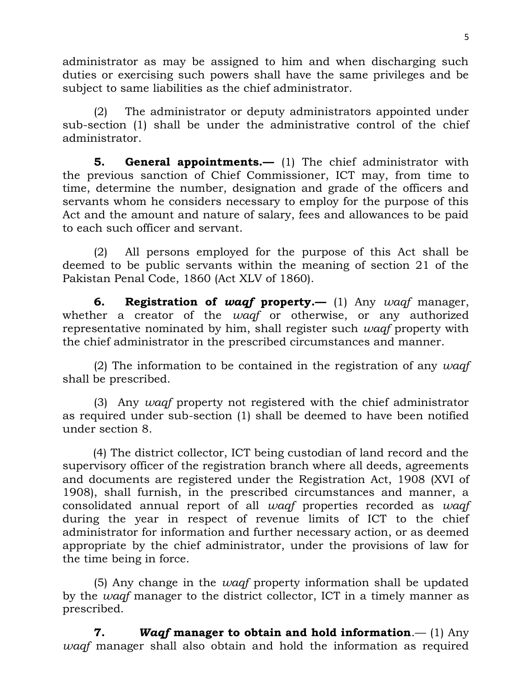administrator as may be assigned to him and when discharging such duties or exercising such powers shall have the same privileges and be subject to same liabilities as the chief administrator.

(2) The administrator or deputy administrators appointed under sub-section (1) shall be under the administrative control of the chief administrator.

**5. General appointments.—** (1) The chief administrator with the previous sanction of Chief Commissioner, ICT may, from time to time, determine the number, designation and grade of the officers and servants whom he considers necessary to employ for the purpose of this Act and the amount and nature of salary, fees and allowances to be paid to each such officer and servant.

(2) All persons employed for the purpose of this Act shall be deemed to be public servants within the meaning of section 21 of the Pakistan Penal Code, 1860 (Act XLV of 1860).

**6. Registration of** *waqf* **property.—** (1) Any *waqf* manager, whether a creator of the *waqf* or otherwise, or any authorized representative nominated by him, shall register such *waqf* property with the chief administrator in the prescribed circumstances and manner.

(2) The information to be contained in the registration of any *waqf* shall be prescribed.

(3) Any *waqf* property not registered with the chief administrator as required under sub-section (1) shall be deemed to have been notified under section 8.

(4) The district collector, ICT being custodian of land record and the supervisory officer of the registration branch where all deeds, agreements and documents are registered under the Registration Act, 1908 (XVI of 1908), shall furnish, in the prescribed circumstances and manner, a consolidated annual report of all *waqf* properties recorded as *waqf* during the year in respect of revenue limits of ICT to the chief administrator for information and further necessary action, or as deemed appropriate by the chief administrator, under the provisions of law for the time being in force.

(5) Any change in the *waqf* property information shall be updated by the *waqf* manager to the district collector, ICT in a timely manner as prescribed.

**7.** *Waqf* **manager to obtain and hold information**.— (1) Any *waqf* manager shall also obtain and hold the information as required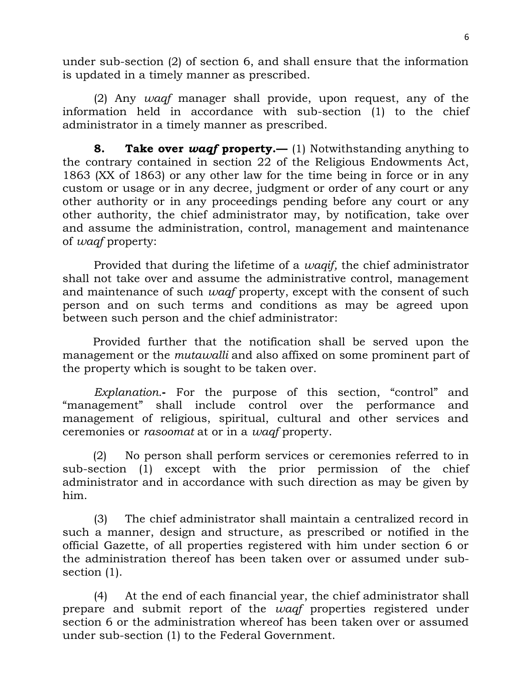under sub-section (2) of section 6, and shall ensure that the information is updated in a timely manner as prescribed.

(2) Any *waqf* manager shall provide, upon request, any of the information held in accordance with sub-section (1) to the chief administrator in a timely manner as prescribed.

**8. Take over** *waqf* **property.—** (1) Notwithstanding anything to the contrary contained in section 22 of the Religious Endowments Act, 1863 (XX of 1863) or any other law for the time being in force or in any custom or usage or in any decree, judgment or order of any court or any other authority or in any proceedings pending before any court or any other authority, the chief administrator may, by notification, take over and assume the administration, control, management and maintenance of *waqf* property:

Provided that during the lifetime of a *waqif,* the chief administrator shall not take over and assume the administrative control, management and maintenance of such *waqf* property, except with the consent of such person and on such terms and conditions as may be agreed upon between such person and the chief administrator:

Provided further that the notification shall be served upon the management or the *mutawalli* and also affixed on some prominent part of the property which is sought to be taken over.

*Explanation.***-** For the purpose of this section, "control" and "management" shall include control over the performance and management of religious, spiritual, cultural and other services and ceremonies or *rasoomat* at or in a *waqf* property.

(2) No person shall perform services or ceremonies referred to in sub-section (1) except with the prior permission of the chief administrator and in accordance with such direction as may be given by him.

(3) The chief administrator shall maintain a centralized record in such a manner, design and structure, as prescribed or notified in the official Gazette, of all properties registered with him under section 6 or the administration thereof has been taken over or assumed under subsection (1).

(4) At the end of each financial year, the chief administrator shall prepare and submit report of the *waqf* properties registered under section 6 or the administration whereof has been taken over or assumed under sub-section (1) to the Federal Government.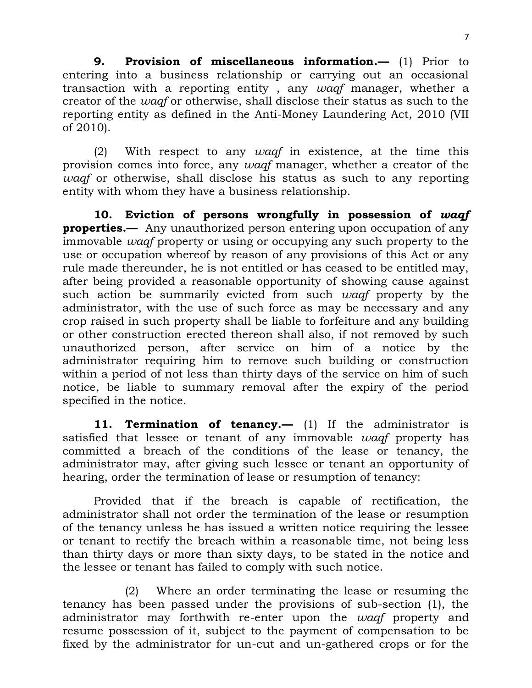**9. Provision of miscellaneous information.—** (1) Prior to entering into a business relationship or carrying out an occasional transaction with a reporting entity , any *waqf* manager, whether a creator of the *waqf* or otherwise, shall disclose their status as such to the reporting entity as defined in the Anti-Money Laundering Act, 2010 (VII of 2010).

(2) With respect to any *waqf* in existence, at the time this provision comes into force, any *waqf* manager, whether a creator of the *waqf* or otherwise, shall disclose his status as such to any reporting entity with whom they have a business relationship.

**10. Eviction of persons wrongfully in possession of** *waqf* **properties.—** Any unauthorized person entering upon occupation of any immovable *waqf* property or using or occupying any such property to the use or occupation whereof by reason of any provisions of this Act or any rule made thereunder, he is not entitled or has ceased to be entitled may, after being provided a reasonable opportunity of showing cause against such action be summarily evicted from such *waqf* property by the administrator, with the use of such force as may be necessary and any crop raised in such property shall be liable to forfeiture and any building or other construction erected thereon shall also, if not removed by such unauthorized person, after service on him of a notice by the administrator requiring him to remove such building or construction within a period of not less than thirty days of the service on him of such notice, be liable to summary removal after the expiry of the period specified in the notice.

**11. Termination of tenancy.—** (1) If the administrator is satisfied that lessee or tenant of any immovable *waqf* property has committed a breach of the conditions of the lease or tenancy, the administrator may, after giving such lessee or tenant an opportunity of hearing, order the termination of lease or resumption of tenancy:

Provided that if the breach is capable of rectification, the administrator shall not order the termination of the lease or resumption of the tenancy unless he has issued a written notice requiring the lessee or tenant to rectify the breach within a reasonable time, not being less than thirty days or more than sixty days, to be stated in the notice and the lessee or tenant has failed to comply with such notice.

(2) Where an order terminating the lease or resuming the tenancy has been passed under the provisions of sub-section (1), the administrator may forthwith re-enter upon the *waqf* property and resume possession of it, subject to the payment of compensation to be fixed by the administrator for un-cut and un-gathered crops or for the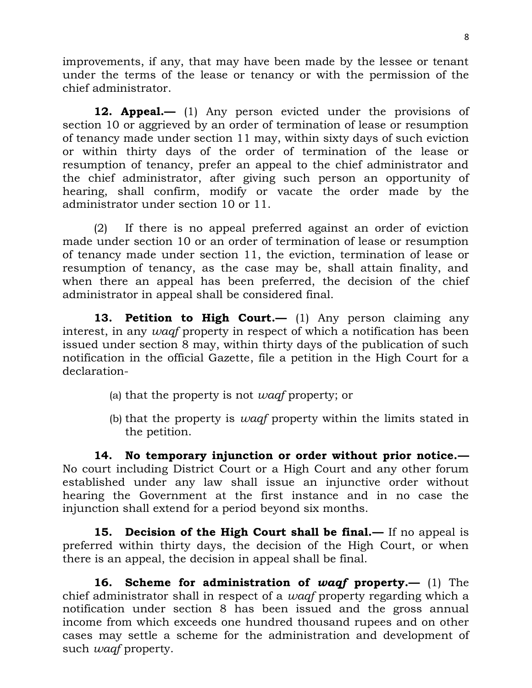improvements, if any, that may have been made by the lessee or tenant under the terms of the lease or tenancy or with the permission of the chief administrator.

**12. Appeal.—** (1) Any person evicted under the provisions of section 10 or aggrieved by an order of termination of lease or resumption of tenancy made under section 11 may, within sixty days of such eviction or within thirty days of the order of termination of the lease or resumption of tenancy, prefer an appeal to the chief administrator and the chief administrator, after giving such person an opportunity of hearing, shall confirm, modify or vacate the order made by the administrator under section 10 or 11.

(2) If there is no appeal preferred against an order of eviction made under section 10 or an order of termination of lease or resumption of tenancy made under section 11, the eviction, termination of lease or resumption of tenancy, as the case may be, shall attain finality, and when there an appeal has been preferred, the decision of the chief administrator in appeal shall be considered final.

**13. Petition to High Court.—** (1) Any person claiming any interest, in any *waqf* property in respect of which a notification has been issued under section 8 may, within thirty days of the publication of such notification in the official Gazette, file a petition in the High Court for a declaration-

- (a) that the property is not *waqf* property; or
- (b) that the property is *waqf* property within the limits stated in the petition.

**14. No temporary injunction or order without prior notice.—** No court including District Court or a High Court and any other forum established under any law shall issue an injunctive order without hearing the Government at the first instance and in no case the injunction shall extend for a period beyond six months.

**15. Decision of the High Court shall be final.—** If no appeal is preferred within thirty days, the decision of the High Court, or when there is an appeal, the decision in appeal shall be final.

**16. Scheme for administration of** *waqf* **property.—** (1) The chief administrator shall in respect of a *waqf* property regarding which a notification under section 8 has been issued and the gross annual income from which exceeds one hundred thousand rupees and on other cases may settle a scheme for the administration and development of such *waqf* property.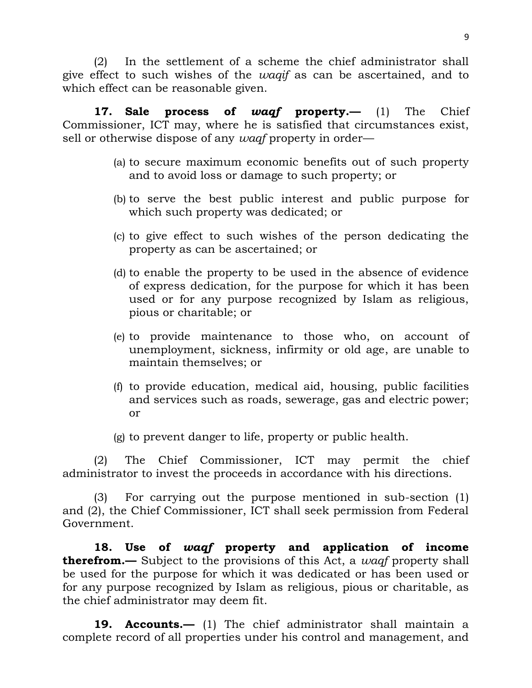(2) In the settlement of a scheme the chief administrator shall give effect to such wishes of the *waqif* as can be ascertained, and to which effect can be reasonable given.

**17. Sale process of** *waqf* **property.—** (1) The Chief Commissioner, ICT may, where he is satisfied that circumstances exist, sell or otherwise dispose of any *waqf* property in order—

- (a) to secure maximum economic benefits out of such property and to avoid loss or damage to such property; or
- (b) to serve the best public interest and public purpose for which such property was dedicated; or
- (c) to give effect to such wishes of the person dedicating the property as can be ascertained; or
- (d) to enable the property to be used in the absence of evidence of express dedication, for the purpose for which it has been used or for any purpose recognized by Islam as religious, pious or charitable; or
- (e) to provide maintenance to those who, on account of unemployment, sickness, infirmity or old age, are unable to maintain themselves; or
- (f) to provide education, medical aid, housing, public facilities and services such as roads, sewerage, gas and electric power; or
- (g) to prevent danger to life, property or public health.

(2) The Chief Commissioner, ICT may permit the chief administrator to invest the proceeds in accordance with his directions.

(3) For carrying out the purpose mentioned in sub-section (1) and (2), the Chief Commissioner, ICT shall seek permission from Federal Government.

**18. Use of** *waqf* **property and application of income therefrom.**— Subject to the provisions of this Act, a *waqf* property shall be used for the purpose for which it was dedicated or has been used or for any purpose recognized by Islam as religious, pious or charitable, as the chief administrator may deem fit.

**19. Accounts.—** (1) The chief administrator shall maintain a complete record of all properties under his control and management, and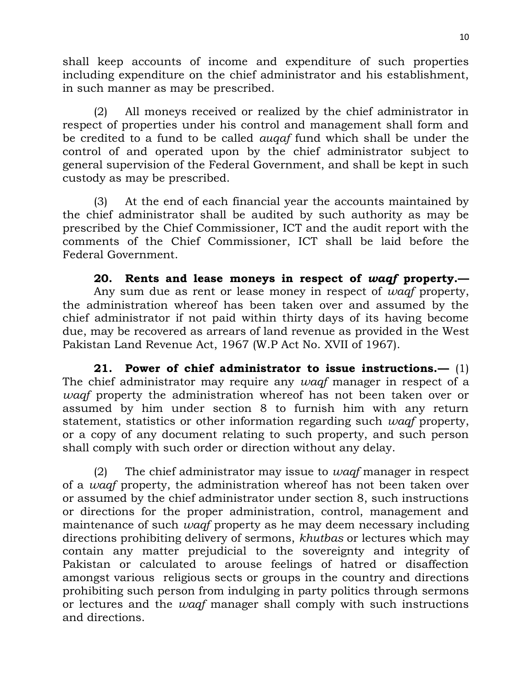shall keep accounts of income and expenditure of such properties including expenditure on the chief administrator and his establishment, in such manner as may be prescribed.

(2) All moneys received or realized by the chief administrator in respect of properties under his control and management shall form and be credited to a fund to be called *auqaf* fund which shall be under the control of and operated upon by the chief administrator subject to general supervision of the Federal Government, and shall be kept in such custody as may be prescribed.

(3) At the end of each financial year the accounts maintained by the chief administrator shall be audited by such authority as may be prescribed by the Chief Commissioner, ICT and the audit report with the comments of the Chief Commissioner, ICT shall be laid before the Federal Government.

**20. Rents and lease moneys in respect of** *waqf* **property.—** Any sum due as rent or lease money in respect of *waqf* property, the administration whereof has been taken over and assumed by the chief administrator if not paid within thirty days of its having become due, may be recovered as arrears of land revenue as provided in the West Pakistan Land Revenue Act, 1967 (W.P Act No. XVII of 1967).

**21. Power of chief administrator to issue instructions.—** (1) The chief administrator may require any *waqf* manager in respect of a *waqf* property the administration whereof has not been taken over or assumed by him under section 8 to furnish him with any return statement, statistics or other information regarding such *waqf* property, or a copy of any document relating to such property, and such person shall comply with such order or direction without any delay.

(2) The chief administrator may issue to *waqf* manager in respect of a *waqf* property, the administration whereof has not been taken over or assumed by the chief administrator under section 8, such instructions or directions for the proper administration, control, management and maintenance of such *waqf* property as he may deem necessary including directions prohibiting delivery of sermons, *khutbas* or lectures which may contain any matter prejudicial to the sovereignty and integrity of Pakistan or calculated to arouse feelings of hatred or disaffection amongst various religious sects or groups in the country and directions prohibiting such person from indulging in party politics through sermons or lectures and the *waqf* manager shall comply with such instructions and directions.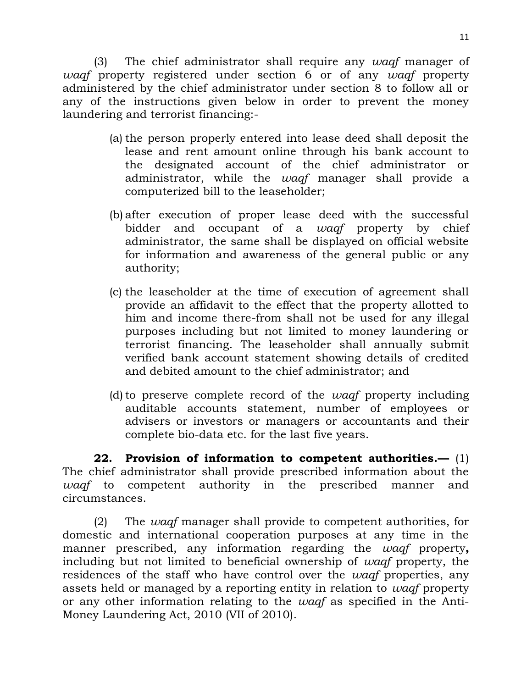(3) The chief administrator shall require any *waqf* manager of *waqf* property registered under section 6 or of any *waqf* property administered by the chief administrator under section 8 to follow all or any of the instructions given below in order to prevent the money laundering and terrorist financing:-

- (a) the person properly entered into lease deed shall deposit the lease and rent amount online through his bank account to the designated account of the chief administrator or administrator, while the *waqf* manager shall provide a computerized bill to the leaseholder;
- (b) after execution of proper lease deed with the successful bidder and occupant of a *waqf* property by chief administrator, the same shall be displayed on official website for information and awareness of the general public or any authority;
- (c) the leaseholder at the time of execution of agreement shall provide an affidavit to the effect that the property allotted to him and income there-from shall not be used for any illegal purposes including but not limited to money laundering or terrorist financing. The leaseholder shall annually submit verified bank account statement showing details of credited and debited amount to the chief administrator; and
- (d)to preserve complete record of the *waqf* property including auditable accounts statement, number of employees or advisers or investors or managers or accountants and their complete bio-data etc. for the last five years.

**22. Provision of information to competent authorities.—** (1) The chief administrator shall provide prescribed information about the *waqf* to competent authority in the prescribed manner and circumstances.

(2) The *waqf* manager shall provide to competent authorities, for domestic and international cooperation purposes at any time in the manner prescribed, any information regarding the *waqf* property**,**  including but not limited to beneficial ownership of *waqf* property, the residences of the staff who have control over the *waqf* properties, any assets held or managed by a reporting entity in relation to *waqf* property or any other information relating to the *waqf* as specified in the Anti-Money Laundering Act, 2010 (VII of 2010).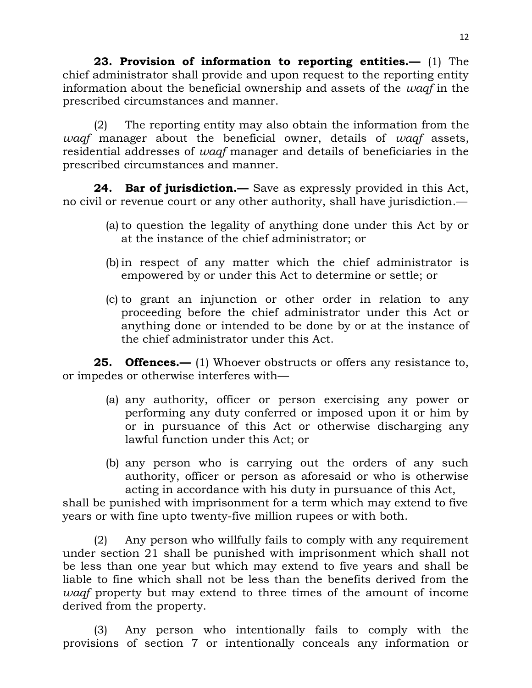**23. Provision of information to reporting entities.—** (1) The chief administrator shall provide and upon request to the reporting entity information about the beneficial ownership and assets of the *waqf* in the prescribed circumstances and manner.

(2) The reporting entity may also obtain the information from the *waqf* manager about the beneficial owner, details of *waqf* assets, residential addresses of *waqf* manager and details of beneficiaries in the prescribed circumstances and manner.

**24. Bar of jurisdiction.—** Save as expressly provided in this Act, no civil or revenue court or any other authority, shall have jurisdiction.—

- (a) to question the legality of anything done under this Act by or at the instance of the chief administrator; or
- (b) in respect of any matter which the chief administrator is empowered by or under this Act to determine or settle; or
- (c) to grant an injunction or other order in relation to any proceeding before the chief administrator under this Act or anything done or intended to be done by or at the instance of the chief administrator under this Act.

**25. Offences.—** (1) Whoever obstructs or offers any resistance to, or impedes or otherwise interferes with—

- (a) any authority, officer or person exercising any power or performing any duty conferred or imposed upon it or him by or in pursuance of this Act or otherwise discharging any lawful function under this Act; or
- (b) any person who is carrying out the orders of any such authority, officer or person as aforesaid or who is otherwise acting in accordance with his duty in pursuance of this Act,

shall be punished with imprisonment for a term which may extend to five years or with fine upto twenty-five million rupees or with both.

(2) Any person who willfully fails to comply with any requirement under section 21 shall be punished with imprisonment which shall not be less than one year but which may extend to five years and shall be liable to fine which shall not be less than the benefits derived from the *waqf* property but may extend to three times of the amount of income derived from the property.

(3) Any person who intentionally fails to comply with the provisions of section 7 or intentionally conceals any information or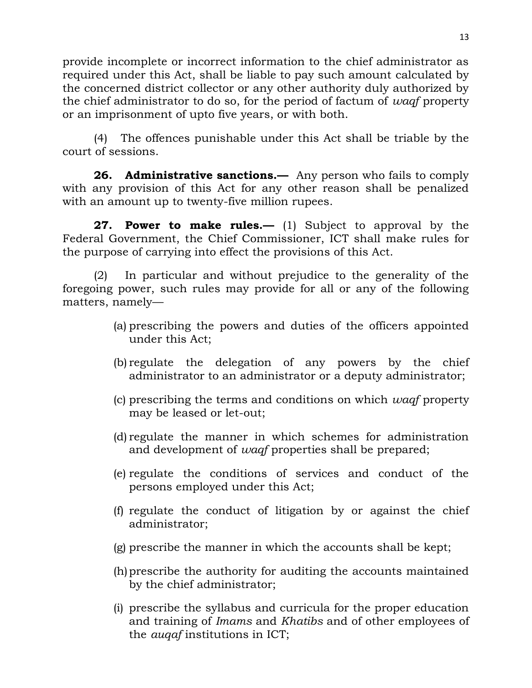provide incomplete or incorrect information to the chief administrator as required under this Act, shall be liable to pay such amount calculated by the concerned district collector or any other authority duly authorized by the chief administrator to do so, for the period of factum of *waqf* property or an imprisonment of upto five years, or with both.

(4) The offences punishable under this Act shall be triable by the court of sessions.

**26. Administrative sanctions.—** Any person who fails to comply with any provision of this Act for any other reason shall be penalized with an amount up to twenty-five million rupees.

**27. Power to make rules.—** (1) Subject to approval by the Federal Government, the Chief Commissioner, ICT shall make rules for the purpose of carrying into effect the provisions of this Act.

(2) In particular and without prejudice to the generality of the foregoing power, such rules may provide for all or any of the following matters, namely—

- (a) prescribing the powers and duties of the officers appointed under this Act;
- (b) regulate the delegation of any powers by the chief administrator to an administrator or a deputy administrator;
- (c) prescribing the terms and conditions on which *waqf* property may be leased or let-out;
- (d) regulate the manner in which schemes for administration and development of *waqf* properties shall be prepared;
- (e) regulate the conditions of services and conduct of the persons employed under this Act;
- (f) regulate the conduct of litigation by or against the chief administrator;
- (g) prescribe the manner in which the accounts shall be kept;
- (h)prescribe the authority for auditing the accounts maintained by the chief administrator;
- (i) prescribe the syllabus and curricula for the proper education and training of *Imams* and *Khatibs* and of other employees of the *auqaf* institutions in ICT;